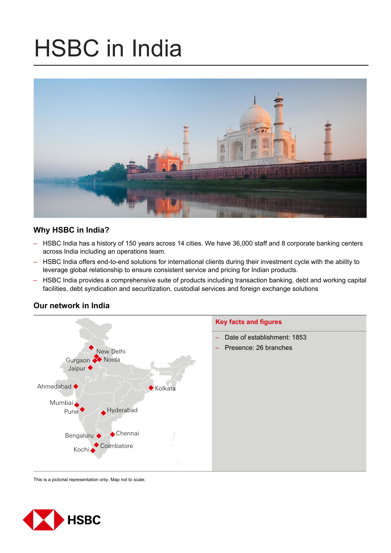# HSBC in India



# **Why HSBC in India?**

- HSBC India has a history of 150 years across 14 cities. We have 36,000 staff and 8 corporate banking centers across India including an operations team.
- HSBC India offers end-to-end solutions for international clients during their investment cycle with the ability to leverage global relationship to ensure consistent service and pricing for Indian products.
- HSBC India provides a comprehensive suite of products including transaction banking, debt and working capital facilities, debt syndication and securitization, custodial services and foreign exchange solutions



# **Our network in India**

This is a pictorial representation only. Map not to scale.